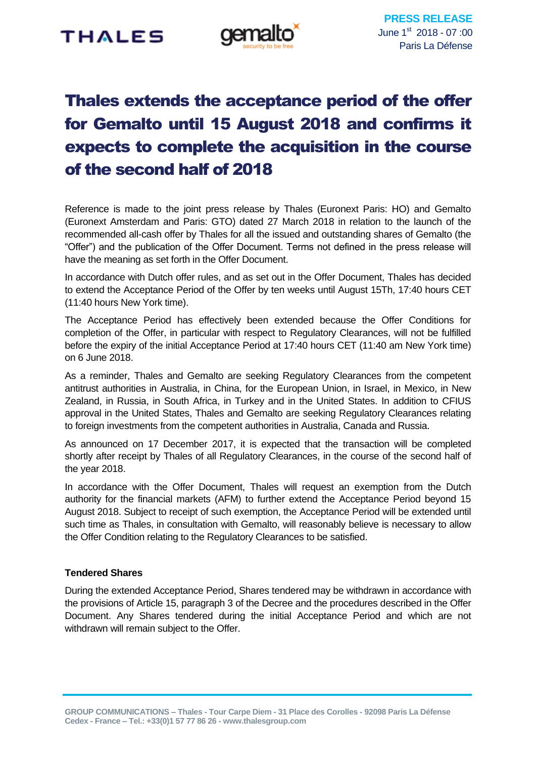



# Thales extends the acceptance period of the offer for Gemalto until 15 August 2018 and confirms it expects to complete the acquisition in the course of the second half of 2018

Reference is made to the joint press release by Thales (Euronext Paris: HO) and Gemalto (Euronext Amsterdam and Paris: GTO) dated 27 March 2018 in relation to the launch of the recommended all-cash offer by Thales for all the issued and outstanding shares of Gemalto (the "Offer") and the publication of the Offer Document. Terms not defined in the press release will have the meaning as set forth in the Offer Document.

In accordance with Dutch offer rules, and as set out in the Offer Document, Thales has decided to extend the Acceptance Period of the Offer by ten weeks until August 15Th, 17:40 hours CET (11:40 hours New York time).

The Acceptance Period has effectively been extended because the Offer Conditions for completion of the Offer, in particular with respect to Regulatory Clearances, will not be fulfilled before the expiry of the initial Acceptance Period at 17:40 hours CET (11:40 am New York time) on 6 June 2018.

As a reminder, Thales and Gemalto are seeking Regulatory Clearances from the competent antitrust authorities in Australia, in China, for the European Union, in Israel, in Mexico, in New Zealand, in Russia, in South Africa, in Turkey and in the United States. In addition to CFIUS approval in the United States, Thales and Gemalto are seeking Regulatory Clearances relating to foreign investments from the competent authorities in Australia, Canada and Russia.

As announced on 17 December 2017, it is expected that the transaction will be completed shortly after receipt by Thales of all Regulatory Clearances, in the course of the second half of the year 2018.

In accordance with the Offer Document, Thales will request an exemption from the Dutch authority for the financial markets (AFM) to further extend the Acceptance Period beyond 15 August 2018. Subject to receipt of such exemption, the Acceptance Period will be extended until such time as Thales, in consultation with Gemalto, will reasonably believe is necessary to allow the Offer Condition relating to the Regulatory Clearances to be satisfied.

#### **Tendered Shares**

During the extended Acceptance Period, Shares tendered may be withdrawn in accordance with the provisions of Article 15, paragraph 3 of the Decree and the procedures described in the Offer Document. Any Shares tendered during the initial Acceptance Period and which are not withdrawn will remain subject to the Offer.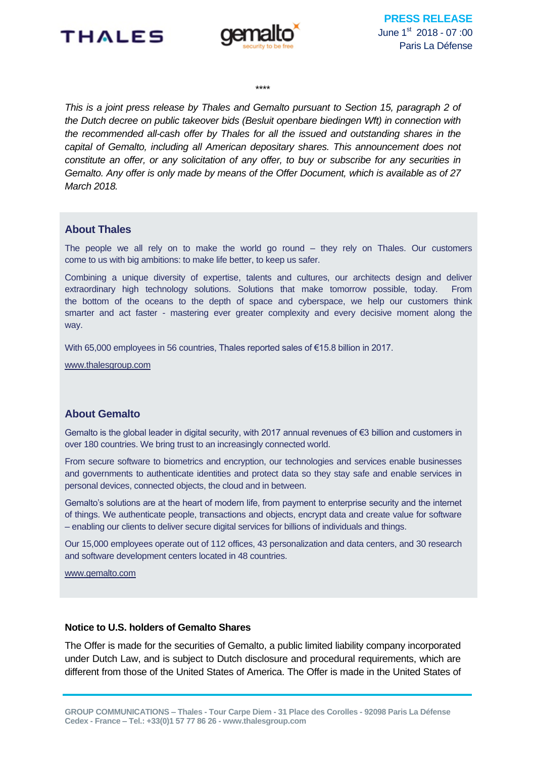



\*\*\*\*

*This is a joint press release by Thales and Gemalto pursuant to Section 15, paragraph 2 of the Dutch decree on public takeover bids (Besluit openbare biedingen Wft) in connection with the recommended all-cash offer by Thales for all the issued and outstanding shares in the capital of Gemalto, including all American depositary shares. This announcement does not constitute an offer, or any solicitation of any offer, to buy or subscribe for any securities in Gemalto. Any offer is only made by means of the Offer Document, which is available as of 27 March 2018.*

## **About Thales**

The people we all rely on to make the world go round – they rely on Thales. Our customers come to us with big ambitions: to make life better, to keep us safer.

Combining a unique diversity of expertise, talents and cultures, our architects design and deliver extraordinary high technology solutions. Solutions that make tomorrow possible, today. From the bottom of the oceans to the depth of space and cyberspace, we help our customers think smarter and act faster - mastering ever greater complexity and every decisive moment along the way.

With 65,000 employees in 56 countries, Thales reported sales of €15.8 billion in 2017.

[www.thalesgroup.com](http://www.thalesgroup.com/)

#### **About Gemalto**

Gemalto is the global leader in digital security, with 2017 annual revenues of €3 billion and customers in over 180 countries. We bring trust to an increasingly connected world.

From secure software to biometrics and encryption, our technologies and services enable businesses and governments to authenticate identities and protect data so they stay safe and enable services in personal devices, connected objects, the cloud and in between.

Gemalto's solutions are at the heart of modern life, from payment to enterprise security and the internet of things. We authenticate people, transactions and objects, encrypt data and create value for software – enabling our clients to deliver secure digital services for billions of individuals and things.

Our 15,000 employees operate out of 112 offices, 43 personalization and data centers, and 30 research and software development centers located in 48 countries.

[www.gemalto.com](http://www.gemalto.com/)

#### **Notice to U.S. holders of Gemalto Shares**

The Offer is made for the securities of Gemalto, a public limited liability company incorporated under Dutch Law, and is subject to Dutch disclosure and procedural requirements, which are different from those of the United States of America. The Offer is made in the United States of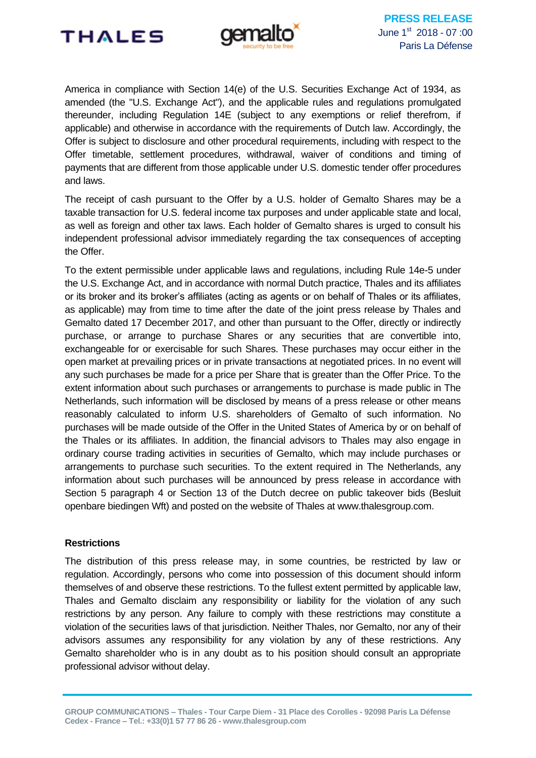



America in compliance with Section 14(e) of the U.S. Securities Exchange Act of 1934, as amended (the "U.S. Exchange Act"), and the applicable rules and regulations promulgated thereunder, including Regulation 14E (subject to any exemptions or relief therefrom, if applicable) and otherwise in accordance with the requirements of Dutch law. Accordingly, the Offer is subject to disclosure and other procedural requirements, including with respect to the Offer timetable, settlement procedures, withdrawal, waiver of conditions and timing of payments that are different from those applicable under U.S. domestic tender offer procedures and laws.

The receipt of cash pursuant to the Offer by a U.S. holder of Gemalto Shares may be a taxable transaction for U.S. federal income tax purposes and under applicable state and local, as well as foreign and other tax laws. Each holder of Gemalto shares is urged to consult his independent professional advisor immediately regarding the tax consequences of accepting the Offer.

To the extent permissible under applicable laws and regulations, including Rule 14e-5 under the U.S. Exchange Act, and in accordance with normal Dutch practice, Thales and its affiliates or its broker and its broker's affiliates (acting as agents or on behalf of Thales or its affiliates, as applicable) may from time to time after the date of the joint press release by Thales and Gemalto dated 17 December 2017, and other than pursuant to the Offer, directly or indirectly purchase, or arrange to purchase Shares or any securities that are convertible into, exchangeable for or exercisable for such Shares. These purchases may occur either in the open market at prevailing prices or in private transactions at negotiated prices. In no event will any such purchases be made for a price per Share that is greater than the Offer Price. To the extent information about such purchases or arrangements to purchase is made public in The Netherlands, such information will be disclosed by means of a press release or other means reasonably calculated to inform U.S. shareholders of Gemalto of such information. No purchases will be made outside of the Offer in the United States of America by or on behalf of the Thales or its affiliates. In addition, the financial advisors to Thales may also engage in ordinary course trading activities in securities of Gemalto, which may include purchases or arrangements to purchase such securities. To the extent required in The Netherlands, any information about such purchases will be announced by press release in accordance with Section 5 paragraph 4 or Section 13 of the Dutch decree on public takeover bids (Besluit openbare biedingen Wft) and posted on the website of Thales at [www.thalesgroup.com.](http://www.thalesgroup.com/)

#### **Restrictions**

The distribution of this press release may, in some countries, be restricted by law or regulation. Accordingly, persons who come into possession of this document should inform themselves of and observe these restrictions. To the fullest extent permitted by applicable law, Thales and Gemalto disclaim any responsibility or liability for the violation of any such restrictions by any person. Any failure to comply with these restrictions may constitute a violation of the securities laws of that jurisdiction. Neither Thales, nor Gemalto, nor any of their advisors assumes any responsibility for any violation by any of these restrictions. Any Gemalto shareholder who is in any doubt as to his position should consult an appropriate professional advisor without delay.